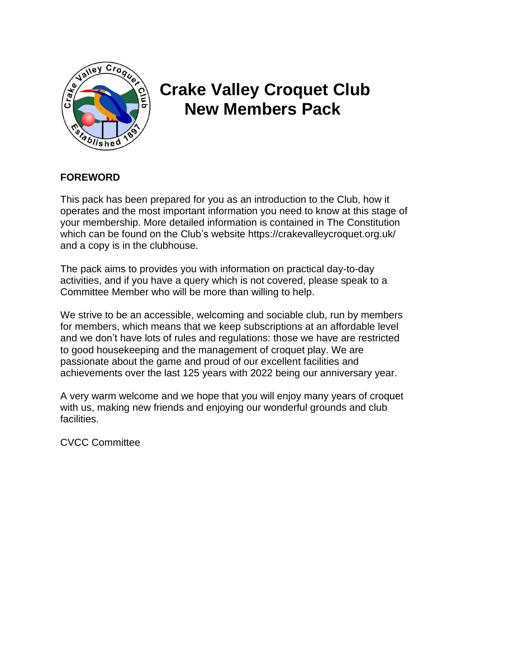

# **Crake Valley Croquet Club New Members Pack**

# **FOREWORD**

This pack has been prepared for you as an introduction to the Club, how it operates and the most important information you need to know at this stage of your membership. More detailed information is contained in The Constitution which can be found on the Club's website https://crakevalleycroquet.org.uk/ and a copy is in the clubhouse.

The pack aims to provides you with information on practical day-to-day activities, and if you have a query which is not covered, please speak to a Committee Member who will be more than willing to help.

We strive to be an accessible, welcoming and sociable club, run by members for members, which means that we keep subscriptions at an affordable level and we don't have lots of rules and regulations: those we have are restricted to good housekeeping and the management of croquet play. We are passionate about the game and proud of our excellent facilities and achievements over the last 125 years with 2022 being our anniversary year.

A very warm welcome and we hope that you will enjoy many years of croquet with us, making new friends and enjoying our wonderful grounds and club facilities.

CVCC Committee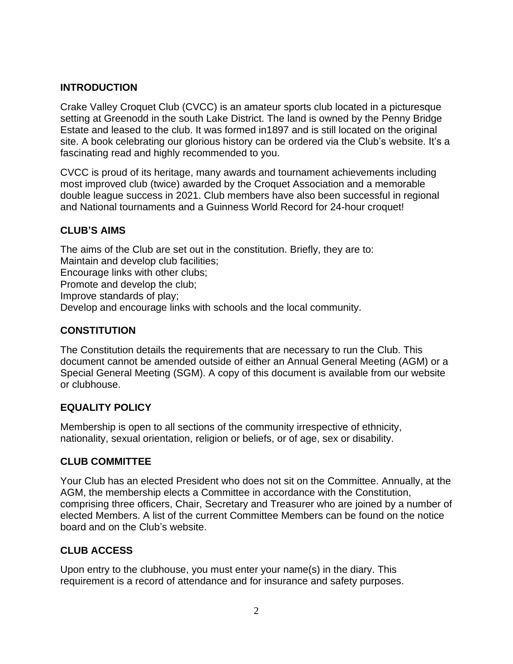# **INTRODUCTION**

Crake Valley Croquet Club (CVCC) is an amateur sports club located in a picturesque setting at Greenodd in the south Lake District. The land is owned by the Penny Bridge Estate and leased to the club. It was formed in1897 and is still located on the original site. A book celebrating our glorious history can be ordered via the Club's website. It's a fascinating read and highly recommended to you.

CVCC is proud of its heritage, many awards and tournament achievements including most improved club (twice) awarded by the Croquet Association and a memorable double league success in 2021. Club members have also been successful in regional and National tournaments and a Guinness World Record for 24-hour croquet!

# **CLUB'S AIMS**

The aims of the Club are set out in the constitution. Briefly, they are to: Maintain and develop club facilities; Encourage links with other clubs; Promote and develop the club; Improve standards of play; Develop and encourage links with schools and the local community.

#### **CONSTITUTION**

The Constitution details the requirements that are necessary to run the Club. This document cannot be amended outside of either an Annual General Meeting (AGM) or a Special General Meeting (SGM). A copy of this document is available from our website or clubhouse.

# **EQUALITY POLICY**

Membership is open to all sections of the community irrespective of ethnicity, nationality, sexual orientation, religion or beliefs, or of age, sex or disability.

# **CLUB COMMITTEE**

Your Club has an elected President who does not sit on the Committee. Annually, at the AGM, the membership elects a Committee in accordance with the Constitution, comprising three officers, Chair, Secretary and Treasurer who are joined by a number of elected Members. A list of the current Committee Members can be found on the notice board and on the Club's website.

# **CLUB ACCESS**

Upon entry to the clubhouse, you must enter your name(s) in the diary. This requirement is a record of attendance and for insurance and safety purposes.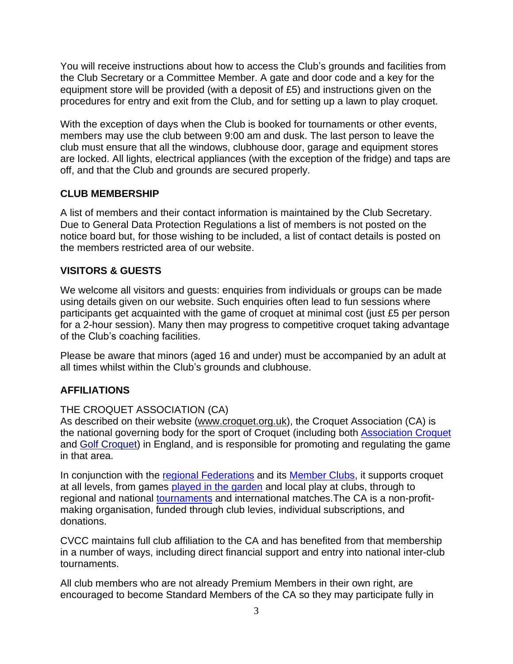You will receive instructions about how to access the Club's grounds and facilities from the Club Secretary or a Committee Member. A gate and door code and a key for the equipment store will be provided (with a deposit of £5) and instructions given on the procedures for entry and exit from the Club, and for setting up a lawn to play croquet.

With the exception of days when the Club is booked for tournaments or other events, members may use the club between 9:00 am and dusk. The last person to leave the club must ensure that all the windows, clubhouse door, garage and equipment stores are locked. All lights, electrical appliances (with the exception of the fridge) and taps are off, and that the Club and grounds are secured properly.

# **CLUB MEMBERSHIP**

A list of members and their contact information is maintained by the Club Secretary. Due to General Data Protection Regulations a list of members is not posted on the notice board but, for those wishing to be included, a list of contact details is posted on the members restricted area of our website.

#### **VISITORS & GUESTS**

We welcome all visitors and guests: enquiries from individuals or groups can be made using details given on our website. Such enquiries often lead to fun sessions where participants get acquainted with the game of croquet at minimal cost (just £5 per person for a 2-hour session). Many then may progress to competitive croquet taking advantage of the Club's coaching facilities.

Please be aware that minors (aged 16 and under) must be accompanied by an adult at all times whilst within the Club's grounds and clubhouse.

#### **AFFILIATIONS**

#### THE CROQUET ASSOCIATION (CA)

As described on their website [\(www.croquet.org.uk\)](http://www.croquet.org.uk/), the Croquet Association (CA) is the national governing body for the sport of Croquet (including both [Association](https://www.croquet.org.uk/?p=games/association) Croquet and Golf [Croquet\)](https://www.croquet.org.uk/?p=games/golf) in England, and is responsible for promoting and regulating the game in that area.

In conjunction with the regional [Federations](https://www.croquet.org.uk/?p=games/federations&Action=Federations) and its [Member](https://www.croquet.org.uk/?p=games/clubs) Clubs, it supports croquet at all levels, from games played in the [garden](https://www.croquet.org.uk/?p=games/garden) and local play at clubs, through to regional and national [tournaments](https://www.croquet.org.uk/?p=tournament) and international matches.The CA is a non-profitmaking organisation, funded through club levies, individual subscriptions, and donations.

CVCC maintains full club affiliation to the CA and has benefited from that membership in a number of ways, including direct financial support and entry into national inter-club tournaments.

All club members who are not already Premium Members in their own right, are encouraged to become Standard Members of the CA so they may participate fully in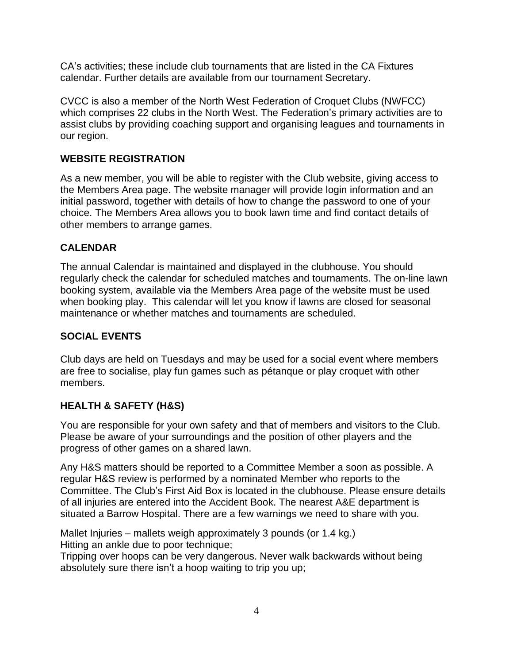CA's activities; these include club tournaments that are listed in the CA Fixtures calendar. Further details are available from our tournament Secretary.

CVCC is also a member of the North West Federation of Croquet Clubs (NWFCC) which comprises 22 clubs in the North West. The Federation's primary activities are to assist clubs by providing coaching support and organising leagues and tournaments in our region.

#### **WEBSITE REGISTRATION**

As a new member, you will be able to register with the Club website, giving access to the Members Area page. The website manager will provide login information and an initial password, together with details of how to change the password to one of your choice. The Members Area allows you to book lawn time and find contact details of other members to arrange games.

#### **CALENDAR**

The annual Calendar is maintained and displayed in the clubhouse. You should regularly check the calendar for scheduled matches and tournaments. The on-line lawn booking system, available via the Members Area page of the website must be used when booking play. This calendar will let you know if lawns are closed for seasonal maintenance or whether matches and tournaments are scheduled.

# **SOCIAL EVENTS**

Club days are held on Tuesdays and may be used for a social event where members are free to socialise, play fun games such as pétanque or play croquet with other members.

# **HEALTH & SAFETY (H&S)**

You are responsible for your own safety and that of members and visitors to the Club. Please be aware of your surroundings and the position of other players and the progress of other games on a shared lawn.

Any H&S matters should be reported to a Committee Member a soon as possible. A regular H&S review is performed by a nominated Member who reports to the Committee. The Club's First Aid Box is located in the clubhouse. Please ensure details of all injuries are entered into the Accident Book. The nearest A&E department is situated a Barrow Hospital. There are a few warnings we need to share with you.

Mallet Injuries – mallets weigh approximately 3 pounds (or 1.4 kg.) Hitting an ankle due to poor technique;

Tripping over hoops can be very dangerous. Never walk backwards without being absolutely sure there isn't a hoop waiting to trip you up;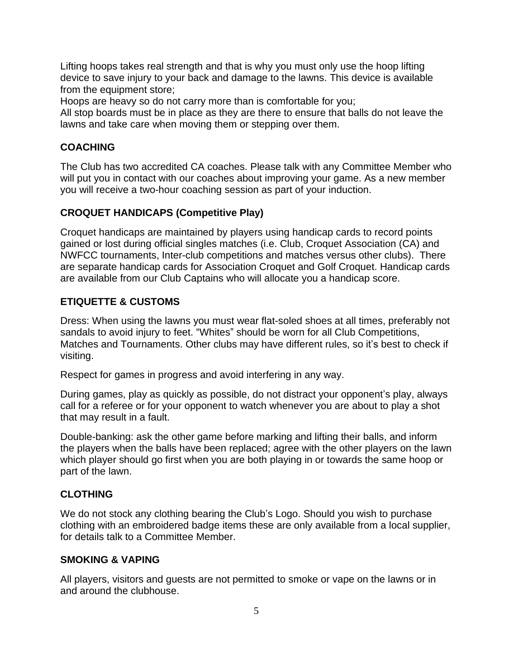Lifting hoops takes real strength and that is why you must only use the hoop lifting device to save injury to your back and damage to the lawns. This device is available from the equipment store;

Hoops are heavy so do not carry more than is comfortable for you;

All stop boards must be in place as they are there to ensure that balls do not leave the lawns and take care when moving them or stepping over them.

# **COACHING**

The Club has two accredited CA coaches. Please talk with any Committee Member who will put you in contact with our coaches about improving your game. As a new member you will receive a two-hour coaching session as part of your induction.

# **CROQUET HANDICAPS (Competitive Play)**

Croquet handicaps are maintained by players using handicap cards to record points gained or lost during official singles matches (i.e. Club, Croquet Association (CA) and NWFCC tournaments, Inter-club competitions and matches versus other clubs). There are separate handicap cards for Association Croquet and Golf Croquet. Handicap cards are available from our Club Captains who will allocate you a handicap score.

# **ETIQUETTE & CUSTOMS**

Dress: When using the lawns you must wear flat-soled shoes at all times, preferably not sandals to avoid injury to feet. "Whites" should be worn for all Club Competitions, Matches and Tournaments. Other clubs may have different rules, so it's best to check if visiting.

Respect for games in progress and avoid interfering in any way.

During games, play as quickly as possible, do not distract your opponent's play, always call for a referee or for your opponent to watch whenever you are about to play a shot that may result in a fault.

Double-banking: ask the other game before marking and lifting their balls, and inform the players when the balls have been replaced; agree with the other players on the lawn which player should go first when you are both playing in or towards the same hoop or part of the lawn.

# **CLOTHING**

We do not stock any clothing bearing the Club's Logo. Should you wish to purchase clothing with an embroidered badge items these are only available from a local supplier, for details talk to a Committee Member.

# **SMOKING & VAPING**

All players, visitors and guests are not permitted to smoke or vape on the lawns or in and around the clubhouse.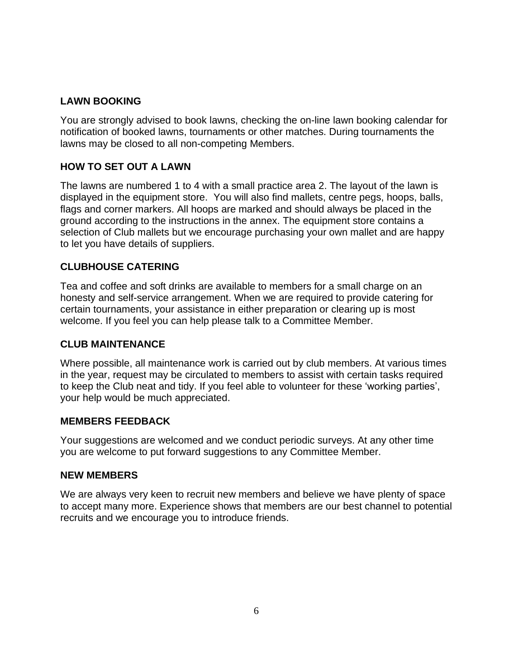# **LAWN BOOKING**

You are strongly advised to book lawns, checking the on-line lawn booking calendar for notification of booked lawns, tournaments or other matches. During tournaments the lawns may be closed to all non-competing Members.

# **HOW TO SET OUT A LAWN**

The lawns are numbered 1 to 4 with a small practice area 2. The layout of the lawn is displayed in the equipment store. You will also find mallets, centre pegs, hoops, balls, flags and corner markers. All hoops are marked and should always be placed in the ground according to the instructions in the annex. The equipment store contains a selection of Club mallets but we encourage purchasing your own mallet and are happy to let you have details of suppliers.

# **CLUBHOUSE CATERING**

Tea and coffee and soft drinks are available to members for a small charge on an honesty and self-service arrangement. When we are required to provide catering for certain tournaments, your assistance in either preparation or clearing up is most welcome. If you feel you can help please talk to a Committee Member.

#### **CLUB MAINTENANCE**

Where possible, all maintenance work is carried out by club members. At various times in the year, request may be circulated to members to assist with certain tasks required to keep the Club neat and tidy. If you feel able to volunteer for these 'working parties', your help would be much appreciated.

#### **MEMBERS FEEDBACK**

Your suggestions are welcomed and we conduct periodic surveys. At any other time you are welcome to put forward suggestions to any Committee Member.

#### **NEW MEMBERS**

We are always very keen to recruit new members and believe we have plenty of space to accept many more. Experience shows that members are our best channel to potential recruits and we encourage you to introduce friends.